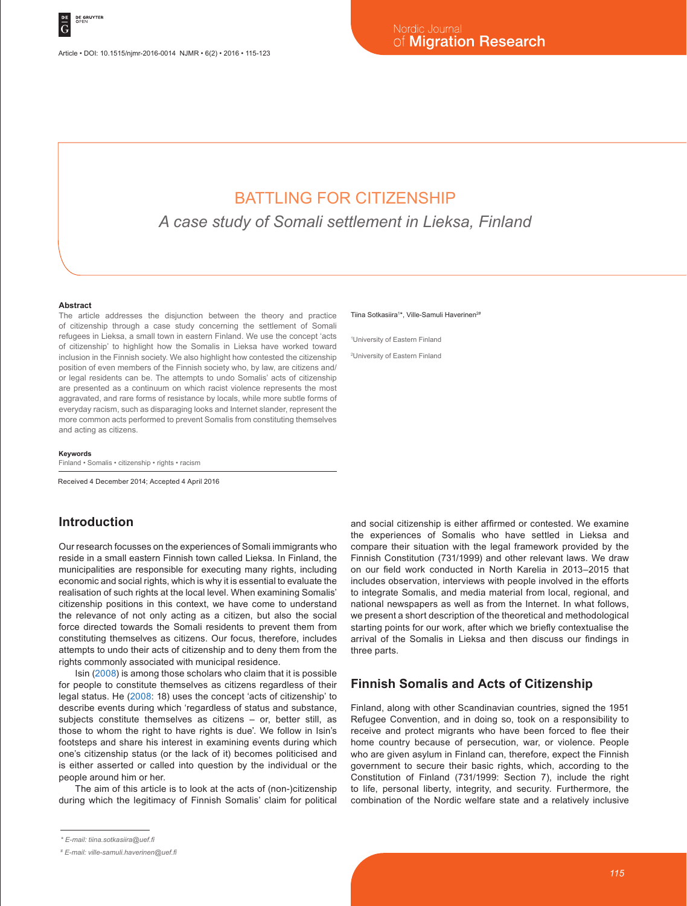# BATTLING FOR CITIZENSHIP

*A case study of Somali settlement in Lieksa, Finland*

#### **Abstract**

The article addresses the disjunction between the theory and practice of citizenship through a case study concerning the settlement of Somali refugees in Lieksa, a small town in eastern Finland. We use the concept 'acts of citizenship' to highlight how the Somalis in Lieksa have worked toward inclusion in the Finnish society. We also highlight how contested the citizenship position of even members of the Finnish society who, by law, are citizens and/ or legal residents can be. The attempts to undo Somalis' acts of citizenship are presented as a continuum on which racist violence represents the most aggravated, and rare forms of resistance by locals, while more subtle forms of everyday racism, such as disparaging looks and Internet slander, represent the more common acts performed to prevent Somalis from constituting themselves and acting as citizens.

#### **Keywords**

Finland • Somalis • citizenship • rights • racism

Received 4 December 2014; Accepted 4 April 2016

### **Introduction**

Our research focusses on the experiences of Somali immigrants who reside in a small eastern Finnish town called Lieksa. In Finland, the municipalities are responsible for executing many rights, including economic and social rights, which is why it is essential to evaluate the realisation of such rights at the local level. When examining Somalis' citizenship positions in this context, we have come to understand the relevance of not only acting as a citizen, but also the social force directed towards the Somali residents to prevent them from constituting themselves as citizens. Our focus, therefore, includes attempts to undo their acts of citizenship and to deny them from the rights commonly associated with municipal residence.

Isin (2008) is among those scholars who claim that it is possible for people to constitute themselves as citizens regardless of their legal status. He (2008: 18) uses the concept 'acts of citizenship' to describe events during which 'regardless of status and substance, subjects constitute themselves as citizens – or, better still, as those to whom the right to have rights is due'. We follow in Isin's footsteps and share his interest in examining events during which one's citizenship status (or the lack of it) becomes politicised and is either asserted or called into question by the individual or the people around him or her.

The aim of this article is to look at the acts of (non-)citizenship during which the legitimacy of Finnish Somalis' claim for political

#### Tiina Sotkasiira1 \*, Ville-Samuli Haverinen2#

1 University of Eastern Finland

2 University of Eastern Finland

and social citizenship is either affirmed or contested. We examine the experiences of Somalis who have settled in Lieksa and compare their situation with the legal framework provided by the Finnish Constitution (731/1999) and other relevant laws. We draw on our field work conducted in North Karelia in 2013–2015 that includes observation, interviews with people involved in the efforts to integrate Somalis, and media material from local, regional, and national newspapers as well as from the Internet. In what follows, we present a short description of the theoretical and methodological starting points for our work, after which we briefly contextualise the arrival of the Somalis in Lieksa and then discuss our findings in three parts.

## **Finnish Somalis and Acts of Citizenship**

Finland, along with other Scandinavian countries, signed the 1951 Refugee Convention, and in doing so, took on a responsibility to receive and protect migrants who have been forced to flee their home country because of persecution, war, or violence. People who are given asylum in Finland can, therefore, expect the Finnish government to secure their basic rights, which, according to the Constitution of Finland (731/1999: Section 7), include the right to life, personal liberty, integrity, and security. Furthermore, the combination of the Nordic welfare state and a relatively inclusive

*<sup>\*</sup> E-mail: tiina.sotkasiira@uef.fi*

*<sup>#</sup> E-mail: ville-samuli.haverinen@uef.fi*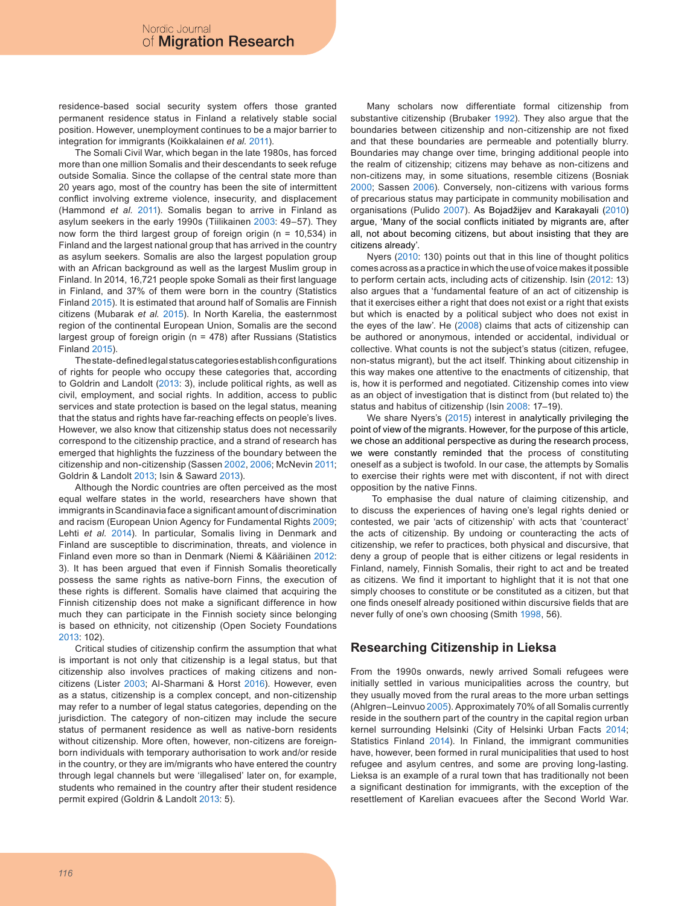residence-based social security system offers those granted permanent residence status in Finland a relatively stable social position. However, unemployment continues to be a major barrier to integration for immigrants (Koikkalainen *et al.* 2011).

The Somali Civil War, which began in the late 1980s, has forced more than one million Somalis and their descendants to seek refuge outside Somalia. Since the collapse of the central state more than 20 years ago, most of the country has been the site of intermittent conflict involving extreme violence, insecurity, and displacement (Hammond *et al.* 2011). Somalis began to arrive in Finland as asylum seekers in the early 1990s (Tiilikainen 2003: 49–57). They now form the third largest group of foreign origin (n = 10,534) in Finland and the largest national group that has arrived in the country as asylum seekers. Somalis are also the largest population group with an African background as well as the largest Muslim group in Finland. In 2014, 16,721 people spoke Somali as their first language in Finland, and 37% of them were born in the country (Statistics Finland 2015). It is estimated that around half of Somalis are Finnish citizens (Mubarak *et al.* 2015). In North Karelia, the easternmost region of the continental European Union, Somalis are the second largest group of foreign origin (n = 478) after Russians (Statistics Finland 2015).

The state-defined legal status categories establish configurations of rights for people who occupy these categories that, according to Goldrin and Landolt (2013: 3), include political rights, as well as civil, employment, and social rights. In addition, access to public services and state protection is based on the legal status, meaning that the status and rights have far-reaching effects on people's lives. However, we also know that citizenship status does not necessarily correspond to the citizenship practice, and a strand of research has emerged that highlights the fuzziness of the boundary between the citizenship and non-citizenship (Sassen 2002, 2006; McNevin 2011; Goldrin & Landolt 2013; Isin & Saward 2013).

Although the Nordic countries are often perceived as the most equal welfare states in the world, researchers have shown that immigrants in Scandinavia face a significant amount of discrimination and racism (European Union Agency for Fundamental Rights 2009; Lehti *et al.* 2014). In particular, Somalis living in Denmark and Finland are susceptible to discrimination, threats, and violence in Finland even more so than in Denmark (Niemi & Kääriäinen 2012: 3). It has been argued that even if Finnish Somalis theoretically possess the same rights as native-born Finns, the execution of these rights is different. Somalis have claimed that acquiring the Finnish citizenship does not make a significant difference in how much they can participate in the Finnish society since belonging is based on ethnicity, not citizenship (Open Society Foundations 2013: 102).

Critical studies of citizenship confirm the assumption that what is important is not only that citizenship is a legal status, but that citizenship also involves practices of making citizens and noncitizens (Lister 2003; Al-Sharmani & Horst 2016). However, even as a status, citizenship is a complex concept, and non-citizenship may refer to a number of legal status categories, depending on the jurisdiction. The category of non-citizen may include the secure status of permanent residence as well as native-born residents without citizenship. More often, however, non-citizens are foreignborn individuals with temporary authorisation to work and/or reside in the country, or they are im/migrants who have entered the country through legal channels but were 'illegalised' later on, for example, students who remained in the country after their student residence permit expired (Goldrin & Landolt 2013: 5).

Many scholars now differentiate formal citizenship from substantive citizenship (Brubaker 1992). They also argue that the boundaries between citizenship and non-citizenship are not fixed and that these boundaries are permeable and potentially blurry. Boundaries may change over time, bringing additional people into the realm of citizenship; citizens may behave as non-citizens and non-citizens may, in some situations, resemble citizens (Bosniak 2000; Sassen 2006). Conversely, non-citizens with various forms of precarious status may participate in community mobilisation and organisations (Pulido 2007). As Bojadžijev and Karakayali (2010) argue, 'Many of the social conflicts initiated by migrants are, after all, not about becoming citizens, but about insisting that they are citizens already'.

Nyers (2010: 130) points out that in this line of thought politics comes across as a practice in which the use of voice makes it possible to perform certain acts, including acts of citizenship. Isin (2012: 13) also argues that a 'fundamental feature of an act of citizenship is that it exercises either a right that does not exist or a right that exists but which is enacted by a political subject who does not exist in the eyes of the law'. He (2008) claims that acts of citizenship can be authored or anonymous, intended or accidental, individual or collective. What counts is not the subject's status (citizen, refugee, non-status migrant), but the act itself. Thinking about citizenship in this way makes one attentive to the enactments of citizenship, that is, how it is performed and negotiated. Citizenship comes into view as an object of investigation that is distinct from (but related to) the status and habitus of citizenship (Isin 2008: 17–19).

We share Nyers's (2015) interest in analytically privileging the point of view of the migrants. However, for the purpose of this article, we chose an additional perspective as during the research process, we were constantly reminded that the process of constituting oneself as a subject is twofold. In our case, the attempts by Somalis to exercise their rights were met with discontent, if not with direct opposition by the native Finns.

 To emphasise the dual nature of claiming citizenship, and to discuss the experiences of having one's legal rights denied or contested, we pair 'acts of citizenship' with acts that 'counteract' the acts of citizenship. By undoing or counteracting the acts of citizenship, we refer to practices, both physical and discursive, that deny a group of people that is either citizens or legal residents in Finland, namely, Finnish Somalis, their right to act and be treated as citizens. We find it important to highlight that it is not that one simply chooses to constitute or be constituted as a citizen, but that one finds oneself already positioned within discursive fields that are never fully of one's own choosing (Smith 1998, 56).

### **Researching Citizenship in Lieksa**

From the 1990s onwards, newly arrived Somali refugees were initially settled in various municipalities across the country, but they usually moved from the rural areas to the more urban settings (Ahlgren–Leinvuo 2005). Approximately 70% of all Somalis currently reside in the southern part of the country in the capital region urban kernel surrounding Helsinki (City of Helsinki Urban Facts 2014; Statistics Finland 2014). In Finland, the immigrant communities have, however, been formed in rural municipalities that used to host refugee and asylum centres, and some are proving long-lasting. Lieksa is an example of a rural town that has traditionally not been a significant destination for immigrants, with the exception of the resettlement of Karelian evacuees after the Second World War.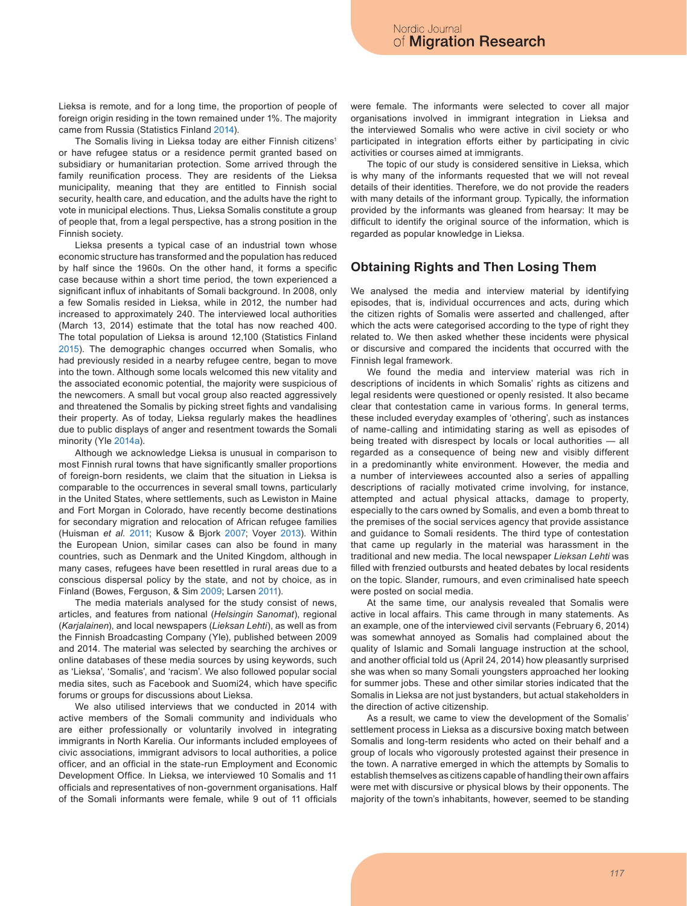Lieksa is remote, and for a long time, the proportion of people of foreign origin residing in the town remained under 1%. The majority came from Russia (Statistics Finland 2014).

The Somalis living in Lieksa today are either Finnish citizens<sup>1</sup> or have refugee status or a residence permit granted based on subsidiary or humanitarian protection. Some arrived through the family reunification process. They are residents of the Lieksa municipality, meaning that they are entitled to Finnish social security, health care, and education, and the adults have the right to vote in municipal elections. Thus, Lieksa Somalis constitute a group of people that, from a legal perspective, has a strong position in the Finnish society.

Lieksa presents a typical case of an industrial town whose economic structure has transformed and the population has reduced by half since the 1960s. On the other hand, it forms a specific case because within a short time period, the town experienced a significant influx of inhabitants of Somali background. In 2008, only a few Somalis resided in Lieksa, while in 2012, the number had increased to approximately 240. The interviewed local authorities (March 13, 2014) estimate that the total has now reached 400. The total population of Lieksa is around 12,100 (Statistics Finland 2015). The demographic changes occurred when Somalis, who had previously resided in a nearby refugee centre, began to move into the town. Although some locals welcomed this new vitality and the associated economic potential, the majority were suspicious of the newcomers. A small but vocal group also reacted aggressively and threatened the Somalis by picking street fights and vandalising their property. As of today, Lieksa regularly makes the headlines due to public displays of anger and resentment towards the Somali minority (Yle 2014a).

Although we acknowledge Lieksa is unusual in comparison to most Finnish rural towns that have significantly smaller proportions of foreign-born residents, we claim that the situation in Lieksa is comparable to the occurrences in several small towns, particularly in the United States, where settlements, such as Lewiston in Maine and Fort Morgan in Colorado, have recently become destinations for secondary migration and relocation of African refugee families (Huisman *et al.* 2011; Kusow & Bjork 2007; Voyer 2013). Within the European Union, similar cases can also be found in many countries, such as Denmark and the United Kingdom, although in many cases, refugees have been resettled in rural areas due to a conscious dispersal policy by the state, and not by choice, as in Finland (Bowes, Ferguson, & Sim 2009; Larsen 2011).

The media materials analysed for the study consist of news, articles, and features from national (*Helsingin Sanomat*), regional (*Karjalainen*), and local newspapers (*Lieksan Lehti*), as well as from the Finnish Broadcasting Company (Yle), published between 2009 and 2014. The material was selected by searching the archives or online databases of these media sources by using keywords, such as 'Lieksa', 'Somalis', and 'racism'. We also followed popular social media sites, such as Facebook and Suomi24, which have specific forums or groups for discussions about Lieksa.

We also utilised interviews that we conducted in 2014 with active members of the Somali community and individuals who are either professionally or voluntarily involved in integrating immigrants in North Karelia. Our informants included employees of civic associations, immigrant advisors to local authorities, a police officer, and an official in the state-run Employment and Economic Development Office. In Lieksa, we interviewed 10 Somalis and 11 officials and representatives of non-government organisations. Half of the Somali informants were female, while 9 out of 11 officials

were female. The informants were selected to cover all major organisations involved in immigrant integration in Lieksa and the interviewed Somalis who were active in civil society or who participated in integration efforts either by participating in civic activities or courses aimed at immigrants.

The topic of our study is considered sensitive in Lieksa, which is why many of the informants requested that we will not reveal details of their identities. Therefore, we do not provide the readers with many details of the informant group. Typically, the information provided by the informants was gleaned from hearsay: It may be difficult to identify the original source of the information, which is regarded as popular knowledge in Lieksa.

## **Obtaining Rights and Then Losing Them**

We analysed the media and interview material by identifying episodes, that is, individual occurrences and acts, during which the citizen rights of Somalis were asserted and challenged, after which the acts were categorised according to the type of right they related to. We then asked whether these incidents were physical or discursive and compared the incidents that occurred with the Finnish legal framework.

We found the media and interview material was rich in descriptions of incidents in which Somalis' rights as citizens and legal residents were questioned or openly resisted. It also became clear that contestation came in various forms. In general terms, these included everyday examples of 'othering', such as instances of name-calling and intimidating staring as well as episodes of being treated with disrespect by locals or local authorities — all regarded as a consequence of being new and visibly different in a predominantly white environment. However, the media and a number of interviewees accounted also a series of appalling descriptions of racially motivated crime involving, for instance, attempted and actual physical attacks, damage to property, especially to the cars owned by Somalis, and even a bomb threat to the premises of the social services agency that provide assistance and guidance to Somali residents. The third type of contestation that came up regularly in the material was harassment in the traditional and new media. The local newspaper *Lieksan Lehti* was filled with frenzied outbursts and heated debates by local residents on the topic. Slander, rumours, and even criminalised hate speech were posted on social media.

At the same time, our analysis revealed that Somalis were active in local affairs. This came through in many statements. As an example, one of the interviewed civil servants (February 6, 2014) was somewhat annoyed as Somalis had complained about the quality of Islamic and Somali language instruction at the school, and another official told us (April 24, 2014) how pleasantly surprised she was when so many Somali youngsters approached her looking for summer jobs. These and other similar stories indicated that the Somalis in Lieksa are not just bystanders, but actual stakeholders in the direction of active citizenship.

As a result, we came to view the development of the Somalis' settlement process in Lieksa as a discursive boxing match between Somalis and long-term residents who acted on their behalf and a group of locals who vigorously protested against their presence in the town. A narrative emerged in which the attempts by Somalis to establish themselves as citizens capable of handling their own affairs were met with discursive or physical blows by their opponents. The majority of the town's inhabitants, however, seemed to be standing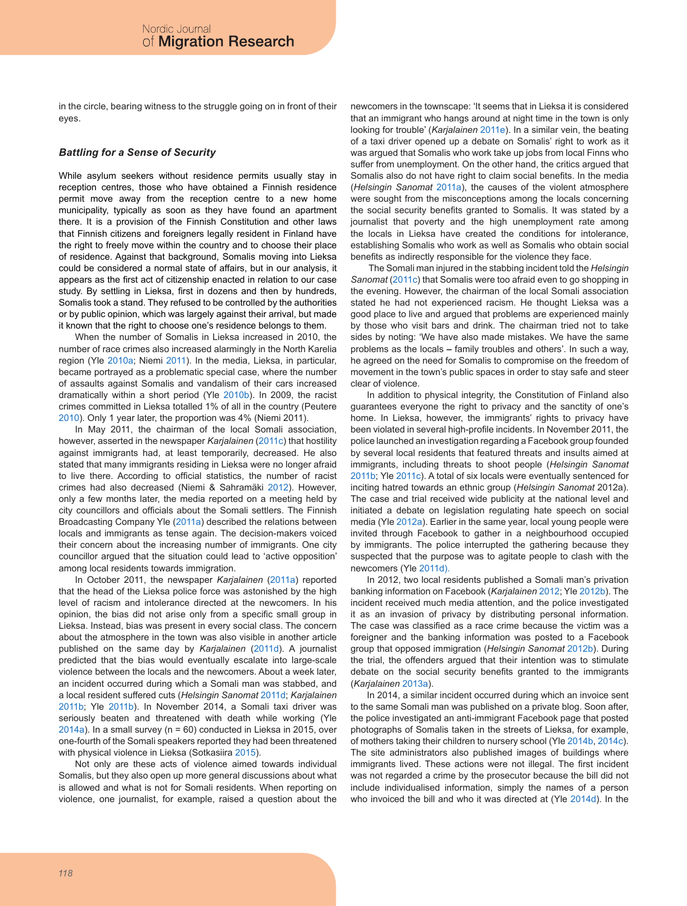in the circle, bearing witness to the struggle going on in front of their eyes.

#### *Battling for a Sense of Security*

While asylum seekers without residence permits usually stay in reception centres, those who have obtained a Finnish residence permit move away from the reception centre to a new home municipality, typically as soon as they have found an apartment there. It is a provision of the Finnish Constitution and other laws that Finnish citizens and foreigners legally resident in Finland have the right to freely move within the country and to choose their place of residence. Against that background, Somalis moving into Lieksa could be considered a normal state of affairs, but in our analysis, it appears as the first act of citizenship enacted in relation to our case study. By settling in Lieksa, first in dozens and then by hundreds, Somalis took a stand. They refused to be controlled by the authorities or by public opinion, which was largely against their arrival, but made it known that the right to choose one's residence belongs to them.

When the number of Somalis in Lieksa increased in 2010, the number of race crimes also increased alarmingly in the North Karelia region (Yle 2010a; Niemi 2011). In the media, Lieksa, in particular, became portrayed as a problematic special case, where the number of assaults against Somalis and vandalism of their cars increased dramatically within a short period (Yle 2010b). In 2009, the racist crimes committed in Lieksa totalled 1% of all in the country (Peutere 2010). Only 1 year later, the proportion was 4% (Niemi 2011).

In May 2011, the chairman of the local Somali association, however, asserted in the newspaper *Karjalainen* (2011c) that hostility against immigrants had, at least temporarily, decreased. He also stated that many immigrants residing in Lieksa were no longer afraid to live there. According to official statistics, the number of racist crimes had also decreased (Niemi & Sahramäki 2012). However, only a few months later, the media reported on a meeting held by city councillors and officials about the Somali settlers. The Finnish Broadcasting Company Yle (2011a) described the relations between locals and immigrants as tense again. The decision-makers voiced their concern about the increasing number of immigrants. One city councillor argued that the situation could lead to 'active opposition' among local residents towards immigration.

In October 2011, the newspaper *Karjalainen* (2011a) reported that the head of the Lieksa police force was astonished by the high level of racism and intolerance directed at the newcomers. In his opinion, the bias did not arise only from a specific small group in Lieksa. Instead, bias was present in every social class. The concern about the atmosphere in the town was also visible in another article published on the same day by *Karjalainen* (2011d). A journalist predicted that the bias would eventually escalate into large-scale violence between the locals and the newcomers. About a week later, an incident occurred during which a Somali man was stabbed, and a local resident suffered cuts (*Helsingin Sanomat* 2011d; *Karjalainen* 2011b; Yle 2011b). In November 2014, a Somali taxi driver was seriously beaten and threatened with death while working (Yle 2014a). In a small survey (n = 60) conducted in Lieksa in 2015, over one-fourth of the Somali speakers reported they had been threatened with physical violence in Lieksa (Sotkasiira 2015).

Not only are these acts of violence aimed towards individual Somalis, but they also open up more general discussions about what is allowed and what is not for Somali residents. When reporting on violence, one journalist, for example, raised a question about the newcomers in the townscape: 'It seems that in Lieksa it is considered that an immigrant who hangs around at night time in the town is only looking for trouble' (*Karjalainen* 2011e). In a similar vein, the beating of a taxi driver opened up a debate on Somalis' right to work as it was argued that Somalis who work take up jobs from local Finns who suffer from unemployment. On the other hand, the critics argued that Somalis also do not have right to claim social benefits. In the media (*Helsingin Sanomat* 2011a), the causes of the violent atmosphere were sought from the misconceptions among the locals concerning the social security benefits granted to Somalis. It was stated by a journalist that poverty and the high unemployment rate among the locals in Lieksa have created the conditions for intolerance, establishing Somalis who work as well as Somalis who obtain social benefits as indirectly responsible for the violence they face.

 The Somali man injured in the stabbing incident told the *Helsingin Sanomat* (2011c) that Somalis were too afraid even to go shopping in the evening. However, the chairman of the local Somali association stated he had not experienced racism. He thought Lieksa was a good place to live and argued that problems are experienced mainly by those who visit bars and drink. The chairman tried not to take sides by noting: 'We have also made mistakes. We have the same problems as the locals **–** family troubles and others'. In such a way, he agreed on the need for Somalis to compromise on the freedom of movement in the town's public spaces in order to stay safe and steer clear of violence.

In addition to physical integrity, the Constitution of Finland also guarantees everyone the right to privacy and the sanctity of one's home. In Lieksa, however, the immigrants' rights to privacy have been violated in several high-profile incidents. In November 2011, the police launched an investigation regarding a Facebook group founded by several local residents that featured threats and insults aimed at immigrants, including threats to shoot people (*Helsingin Sanomat* 2011b; Yle 2011c). A total of six locals were eventually sentenced for inciting hatred towards an ethnic group (*Helsingin Sanomat* 2012a). The case and trial received wide publicity at the national level and initiated a debate on legislation regulating hate speech on social media (Yle 2012a). Earlier in the same year, local young people were invited through Facebook to gather in a neighbourhood occupied by immigrants. The police interrupted the gathering because they suspected that the purpose was to agitate people to clash with the newcomers (Yle 2011d).

In 2012, two local residents published a Somali man's privation banking information on Facebook (*Karjalainen* 2012; Yle 2012b). The incident received much media attention, and the police investigated it as an invasion of privacy by distributing personal information. The case was classified as a race crime because the victim was a foreigner and the banking information was posted to a Facebook group that opposed immigration (*Helsingin Sanomat* 2012b). During the trial, the offenders argued that their intention was to stimulate debate on the social security benefits granted to the immigrants (*Karjalainen* 2013a).

In 2014, a similar incident occurred during which an invoice sent to the same Somali man was published on a private blog. Soon after, the police investigated an anti-immigrant Facebook page that posted photographs of Somalis taken in the streets of Lieksa, for example, of mothers taking their children to nursery school (Yle 2014b, 2014c). The site administrators also published images of buildings where immigrants lived. These actions were not illegal. The first incident was not regarded a crime by the prosecutor because the bill did not include individualised information, simply the names of a person who invoiced the bill and who it was directed at (Yle 2014d). In the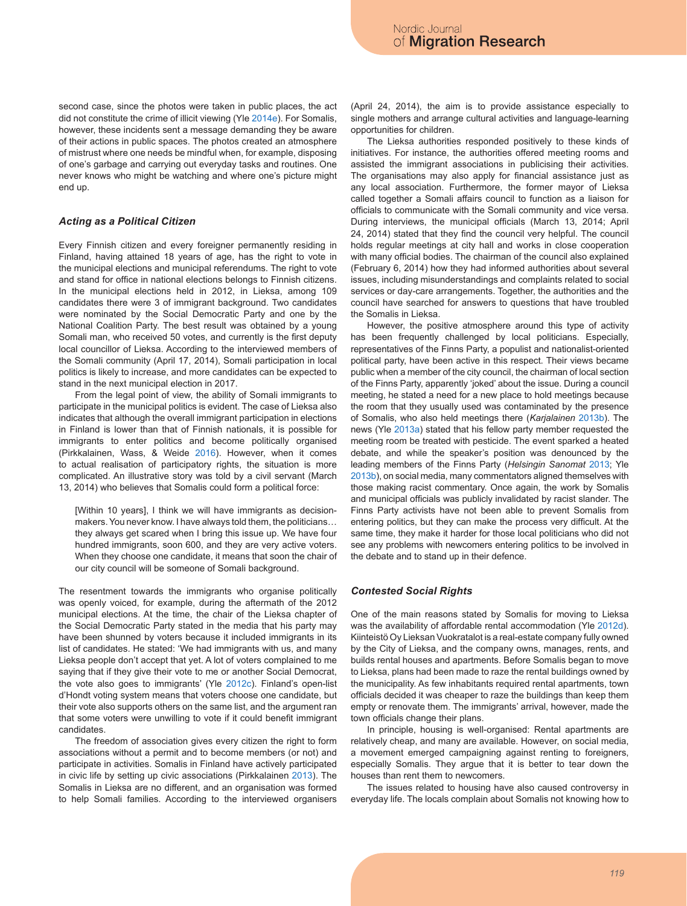second case, since the photos were taken in public places, the act did not constitute the crime of illicit viewing (Yle 2014e). For Somalis, however, these incidents sent a message demanding they be aware of their actions in public spaces. The photos created an atmosphere of mistrust where one needs be mindful when, for example, disposing of one's garbage and carrying out everyday tasks and routines. One never knows who might be watching and where one's picture might end up.

### *Acting as a Political Citizen*

Every Finnish citizen and every foreigner permanently residing in Finland, having attained 18 years of age, has the right to vote in the municipal elections and municipal referendums. The right to vote and stand for office in national elections belongs to Finnish citizens. In the municipal elections held in 2012, in Lieksa, among 109 candidates there were 3 of immigrant background. Two candidates were nominated by the Social Democratic Party and one by the National Coalition Party. The best result was obtained by a young Somali man, who received 50 votes, and currently is the first deputy local councillor of Lieksa. According to the interviewed members of the Somali community (April 17, 2014), Somali participation in local politics is likely to increase, and more candidates can be expected to stand in the next municipal election in 2017.

From the legal point of view, the ability of Somali immigrants to participate in the municipal politics is evident. The case of Lieksa also indicates that although the overall immigrant participation in elections in Finland is lower than that of Finnish nationals, it is possible for immigrants to enter politics and become politically organised (Pirkkalainen, Wass, & Weide 2016). However, when it comes to actual realisation of participatory rights, the situation is more complicated. An illustrative story was told by a civil servant (March 13, 2014) who believes that Somalis could form a political force:

[Within 10 years], I think we will have immigrants as decisionmakers. You never know. I have always told them, the politicians… they always get scared when I bring this issue up. We have four hundred immigrants, soon 600, and they are very active voters. When they choose one candidate, it means that soon the chair of our city council will be someone of Somali background.

The resentment towards the immigrants who organise politically was openly voiced, for example, during the aftermath of the 2012 municipal elections. At the time, the chair of the Lieksa chapter of the Social Democratic Party stated in the media that his party may have been shunned by voters because it included immigrants in its list of candidates. He stated: 'We had immigrants with us, and many Lieksa people don't accept that yet. A lot of voters complained to me saying that if they give their vote to me or another Social Democrat, the vote also goes to immigrants' (Yle 2012c). Finland's open-list d'Hondt voting system means that voters choose one candidate, but their vote also supports others on the same list, and the argument ran that some voters were unwilling to vote if it could benefit immigrant candidates.

The freedom of association gives every citizen the right to form associations without a permit and to become members (or not) and participate in activities. Somalis in Finland have actively participated in civic life by setting up civic associations (Pirkkalainen 2013). The Somalis in Lieksa are no different, and an organisation was formed to help Somali families. According to the interviewed organisers (April 24, 2014), the aim is to provide assistance especially to single mothers and arrange cultural activities and language-learning opportunities for children.

The Lieksa authorities responded positively to these kinds of initiatives. For instance, the authorities offered meeting rooms and assisted the immigrant associations in publicising their activities. The organisations may also apply for financial assistance just as any local association. Furthermore, the former mayor of Lieksa called together a Somali affairs council to function as a liaison for officials to communicate with the Somali community and vice versa. During interviews, the municipal officials (March 13, 2014; April 24, 2014) stated that they find the council very helpful. The council holds regular meetings at city hall and works in close cooperation with many official bodies. The chairman of the council also explained (February 6, 2014) how they had informed authorities about several issues, including misunderstandings and complaints related to social services or day-care arrangements. Together, the authorities and the council have searched for answers to questions that have troubled the Somalis in Lieksa.

However, the positive atmosphere around this type of activity has been frequently challenged by local politicians. Especially, representatives of the Finns Party, a populist and nationalist-oriented political party, have been active in this respect. Their views became public when a member of the city council, the chairman of local section of the Finns Party, apparently 'joked' about the issue. During a council meeting, he stated a need for a new place to hold meetings because the room that they usually used was contaminated by the presence of Somalis, who also held meetings there (*Karjalainen* 2013b). The news (Yle 2013a) stated that his fellow party member requested the meeting room be treated with pesticide. The event sparked a heated debate, and while the speaker's position was denounced by the leading members of the Finns Party (*Helsingin Sanomat* 2013; Yle 2013b), on social media, many commentators aligned themselves with those making racist commentary. Once again, the work by Somalis and municipal officials was publicly invalidated by racist slander. The Finns Party activists have not been able to prevent Somalis from entering politics, but they can make the process very difficult. At the same time, they make it harder for those local politicians who did not see any problems with newcomers entering politics to be involved in the debate and to stand up in their defence.

#### *Contested Social Rights*

One of the main reasons stated by Somalis for moving to Lieksa was the availability of affordable rental accommodation (Yle 2012d). Kiinteistö Oy Lieksan Vuokratalot is a real-estate company fully owned by the City of Lieksa, and the company owns, manages, rents, and builds rental houses and apartments. Before Somalis began to move to Lieksa, plans had been made to raze the rental buildings owned by the municipality. As few inhabitants required rental apartments, town officials decided it was cheaper to raze the buildings than keep them empty or renovate them. The immigrants' arrival, however, made the town officials change their plans.

In principle, housing is well-organised: Rental apartments are relatively cheap, and many are available. However, on social media, a movement emerged campaigning against renting to foreigners, especially Somalis. They argue that it is better to tear down the houses than rent them to newcomers.

The issues related to housing have also caused controversy in everyday life. The locals complain about Somalis not knowing how to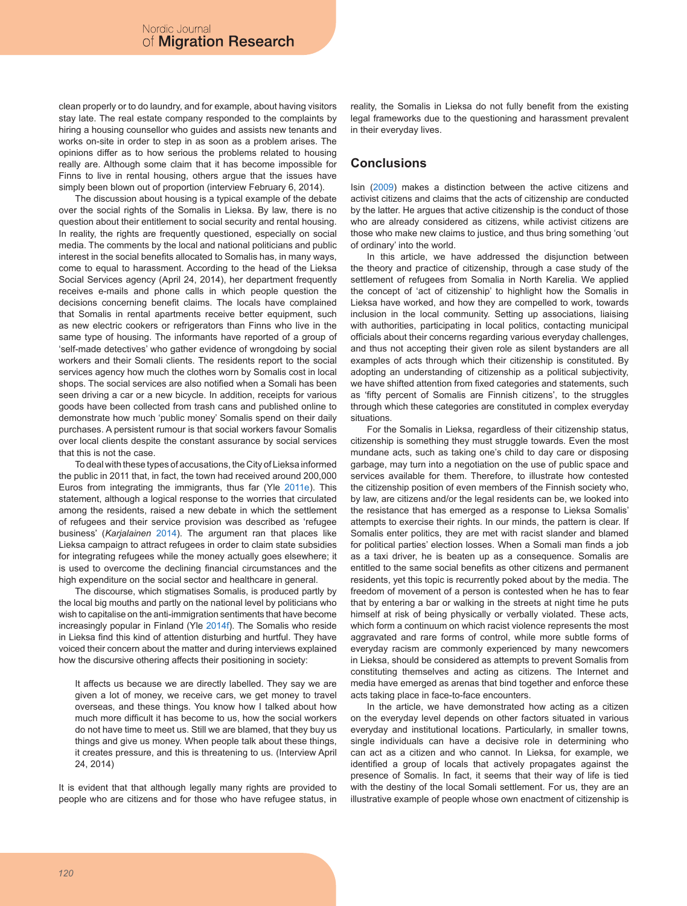clean properly or to do laundry, and for example, about having visitors stay late. The real estate company responded to the complaints by hiring a housing counsellor who guides and assists new tenants and works on-site in order to step in as soon as a problem arises. The opinions differ as to how serious the problems related to housing really are. Although some claim that it has become impossible for Finns to live in rental housing, others argue that the issues have simply been blown out of proportion (interview February 6, 2014).

The discussion about housing is a typical example of the debate over the social rights of the Somalis in Lieksa. By law, there is no question about their entitlement to social security and rental housing. In reality, the rights are frequently questioned, especially on social media. The comments by the local and national politicians and public interest in the social benefits allocated to Somalis has, in many ways, come to equal to harassment. According to the head of the Lieksa Social Services agency (April 24, 2014), her department frequently receives e-mails and phone calls in which people question the decisions concerning benefit claims. The locals have complained that Somalis in rental apartments receive better equipment, such as new electric cookers or refrigerators than Finns who live in the same type of housing. The informants have reported of a group of 'self-made detectives' who gather evidence of wrongdoing by social workers and their Somali clients. The residents report to the social services agency how much the clothes worn by Somalis cost in local shops. The social services are also notified when a Somali has been seen driving a car or a new bicycle. In addition, receipts for various goods have been collected from trash cans and published online to demonstrate how much 'public money' Somalis spend on their daily purchases. A persistent rumour is that social workers favour Somalis over local clients despite the constant assurance by social services that this is not the case.

To deal with these types of accusations, the City of Lieksa informed the public in 2011 that, in fact, the town had received around 200,000 Euros from integrating the immigrants, thus far (Yle 2011e). This statement, although a logical response to the worries that circulated among the residents, raised a new debate in which the settlement of refugees and their service provision was described as 'refugee business' (*Karjalainen* 2014). The argument ran that places like Lieksa campaign to attract refugees in order to claim state subsidies for integrating refugees while the money actually goes elsewhere; it is used to overcome the declining financial circumstances and the high expenditure on the social sector and healthcare in general.

The discourse, which stigmatises Somalis, is produced partly by the local big mouths and partly on the national level by politicians who wish to capitalise on the anti-immigration sentiments that have become increasingly popular in Finland (Yle 2014f). The Somalis who reside in Lieksa find this kind of attention disturbing and hurtful. They have voiced their concern about the matter and during interviews explained how the discursive othering affects their positioning in society:

It affects us because we are directly labelled. They say we are given a lot of money, we receive cars, we get money to travel overseas, and these things. You know how I talked about how much more difficult it has become to us, how the social workers do not have time to meet us. Still we are blamed, that they buy us things and give us money. When people talk about these things, it creates pressure, and this is threatening to us. (Interview April 24, 2014)

It is evident that that although legally many rights are provided to people who are citizens and for those who have refugee status, in reality, the Somalis in Lieksa do not fully benefit from the existing legal frameworks due to the questioning and harassment prevalent in their everyday lives.

## **Conclusions**

Isin (2009) makes a distinction between the active citizens and activist citizens and claims that the acts of citizenship are conducted by the latter. He argues that active citizenship is the conduct of those who are already considered as citizens, while activist citizens are those who make new claims to justice, and thus bring something 'out of ordinary' into the world.

In this article, we have addressed the disjunction between the theory and practice of citizenship, through a case study of the settlement of refugees from Somalia in North Karelia. We applied the concept of 'act of citizenship' to highlight how the Somalis in Lieksa have worked, and how they are compelled to work, towards inclusion in the local community. Setting up associations, liaising with authorities, participating in local politics, contacting municipal officials about their concerns regarding various everyday challenges, and thus not accepting their given role as silent bystanders are all examples of acts through which their citizenship is constituted. By adopting an understanding of citizenship as a political subjectivity, we have shifted attention from fixed categories and statements, such as 'fifty percent of Somalis are Finnish citizens', to the struggles through which these categories are constituted in complex everyday situations.

For the Somalis in Lieksa, regardless of their citizenship status, citizenship is something they must struggle towards. Even the most mundane acts, such as taking one's child to day care or disposing garbage, may turn into a negotiation on the use of public space and services available for them. Therefore, to illustrate how contested the citizenship position of even members of the Finnish society who, by law, are citizens and/or the legal residents can be, we looked into the resistance that has emerged as a response to Lieksa Somalis' attempts to exercise their rights. In our minds, the pattern is clear. If Somalis enter politics, they are met with racist slander and blamed for political parties' election losses. When a Somali man finds a job as a taxi driver, he is beaten up as a consequence. Somalis are entitled to the same social benefits as other citizens and permanent residents, yet this topic is recurrently poked about by the media. The freedom of movement of a person is contested when he has to fear that by entering a bar or walking in the streets at night time he puts himself at risk of being physically or verbally violated. These acts, which form a continuum on which racist violence represents the most aggravated and rare forms of control, while more subtle forms of everyday racism are commonly experienced by many newcomers in Lieksa, should be considered as attempts to prevent Somalis from constituting themselves and acting as citizens. The Internet and media have emerged as arenas that bind together and enforce these acts taking place in face-to-face encounters.

In the article, we have demonstrated how acting as a citizen on the everyday level depends on other factors situated in various everyday and institutional locations. Particularly, in smaller towns, single individuals can have a decisive role in determining who can act as a citizen and who cannot. In Lieksa, for example, we identified a group of locals that actively propagates against the presence of Somalis. In fact, it seems that their way of life is tied with the destiny of the local Somali settlement. For us, they are an illustrative example of people whose own enactment of citizenship is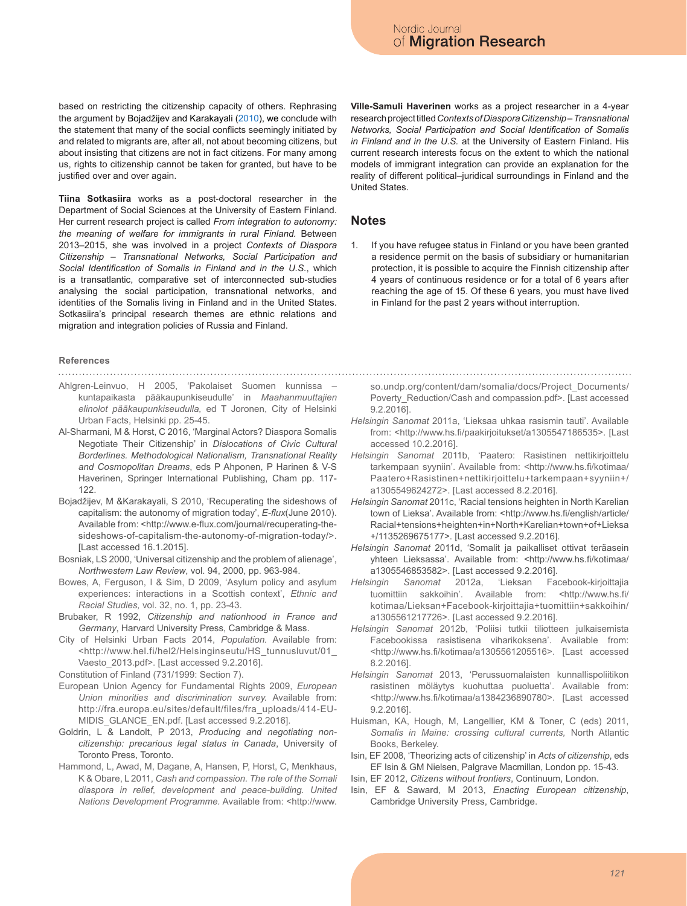based on restricting the citizenship capacity of others. Rephrasing the argument by Bojadžijev and Karakayali (2010), we conclude with the statement that many of the social conflicts seemingly initiated by and related to migrants are, after all, not about becoming citizens, but about insisting that citizens are not in fact citizens. For many among us, rights to citizenship cannot be taken for granted, but have to be justified over and over again.

**Tiina Sotkasiira** works as a post-doctoral researcher in the Department of Social Sciences at the University of Eastern Finland. Her current research project is called *From integration to autonomy: the meaning of welfare for immigrants in rural Finland.* Between 2013–2015, she was involved in a project *Contexts of Diaspora Citizenship – Transnational Networks, Social Participation and Social Identification of Somalis in Finland and in the U.S.*, which is a transatlantic, comparative set of interconnected sub-studies analysing the social participation, transnational networks, and identities of the Somalis living in Finland and in the United States. Sotkasiira's principal research themes are ethnic relations and migration and integration policies of Russia and Finland.

#### **References**

- 
- Ahlgren-Leinvuo, H 2005, 'Pakolaiset Suomen kunnissa kuntapaikasta pääkaupunkiseudulle' in *Maahanmuuttajien elinolot pääkaupunkiseudulla,* ed T Joronen, City of Helsinki Urban Facts, Helsinki pp. 25-45.
- Al-Sharmani, M & Horst, C 2016, 'Marginal Actors? Diaspora Somalis Negotiate Their Citizenship' in *Dislocations of Civic Cultural Borderlines. Methodological Nationalism, Transnational Reality and Cosmopolitan Dreams*, eds P Ahponen, P Harinen & V-S Haverinen, Springer International Publishing, Cham pp. 117- 122.
- Bojadžijev, M &Karakayali, S 2010, 'Recuperating the sideshows of capitalism: the autonomy of migration today', *E-flux*(June 2010). Available from: <http://www.e-flux.com/journal/recuperating-thesideshows-of-capitalism-the-autonomy-of-migration-today/>. [Last accessed 16.1.2015].
- Bosniak, LS 2000, 'Universal citizenship and the problem of alienage', *Northwestern Law Review*, vol. 94, 2000, pp. 963-984.
- Bowes, A, Ferguson, I & Sim, D 2009, 'Asylum policy and asylum experiences: interactions in a Scottish context', *Ethnic and Racial Studies,* vol. 32, no. 1, pp. 23-43.
- Brubaker, R 1992, *Citizenship and nationhood in France and Germany*, Harvard University Press, Cambridge & Mass.
- City of Helsinki Urban Facts 2014, *Population.* Available from: <http://www.hel.fi/hel2/Helsinginseutu/HS\_tunnusluvut/01\_ Vaesto\_2013.pdf>. [Last accessed 9.2.2016].

Constitution of Finland (731/1999: Section 7).

- European Union Agency for Fundamental Rights 2009, *European Union minorities and discrimination survey.* Available from: http://fra.europa.eu/sites/default/files/fra\_uploads/414-EU-MIDIS\_GLANCE\_EN.pdf. [Last accessed 9.2.2016].
- Goldrin, L & Landolt, P 2013, *Producing and negotiating noncitizenship: precarious legal status in Canada*, University of Toronto Press, Toronto.
- Hammond, L, Awad, M, Dagane, A, Hansen, P, Horst, C, Menkhaus, K & Obare, L 2011, *Cash and compassion. The role of the Somali diaspora in relief, development and peace-building. United Nations Development Programme.* Available from: <http://www.

**Ville-Samuli Haverinen** works as a project researcher in a 4-year research project titled *Contexts of Diaspora Citizenship – Transnational Networks, Social Participation and Social Identification of Somalis in Finland and in the U.S.* at the University of Eastern Finland. His current research interests focus on the extent to which the national models of immigrant integration can provide an explanation for the reality of different political–juridical surroundings in Finland and the United States.

### **Notes**

1. If you have refugee status in Finland or you have been granted a residence permit on the basis of subsidiary or humanitarian protection, it is possible to acquire the Finnish citizenship after 4 years of continuous residence or for a total of 6 years after reaching the age of 15. Of these 6 years, you must have lived in Finland for the past 2 years without interruption.

so.undp.org/content/dam/somalia/docs/Project\_Documents/ Poverty\_Reduction/Cash and compassion.pdf>. [Last accessed 9.2.2016].

- *Helsingin Sanomat* 2011a, 'Lieksaa uhkaa rasismin tauti'. Available from: <http://www.hs.fi/paakirjoitukset/a1305547186535>. [Last accessed 10.2.2016].
- *Helsingin Sanomat* 2011b, 'Paatero: Rasistinen nettikirjoittelu tarkempaan syyniin'. Available from: <http://www.hs.fi/kotimaa/ Paatero+Rasistinen+nettikirjoittelu+tarkempaan+syyniin+/ a1305549624272>. [Last accessed 8.2.2016].
- *Helsingin Sanomat* 2011c, 'Racial tensions heighten in North Karelian town of Lieksa'. Available from: <http://www.hs.fi/english/article/ Racial+tensions+heighten+in+North+Karelian+town+of+Lieksa +/1135269675177>. [Last accessed 9.2.2016].
- *Helsingin Sanomat* 2011d, 'Somalit ja paikalliset ottivat teräasein yhteen Lieksassa'. Available from: <http://www.hs.fi/kotimaa/ a1305546853582>. [Last accessed 9.2.2016].
- *Helsingin Sanomat* 2012a, 'Lieksan Facebook-kirjoittajia tuomittiin sakkoihin'. Available from: <http://www.hs.fi/ kotimaa/Lieksan+Facebook-kirjoittajia+tuomittiin+sakkoihin/ a1305561217726>. [Last accessed 9.2.2016].
- *Helsingin Sanomat* 2012b, 'Poliisi tutkii tiliotteen julkaisemista Facebookissa rasistisena viharikoksena'. Available from: <http://www.hs.fi/kotimaa/a1305561205516>. [Last accessed 8.2.2016].
- *Helsingin Sanomat* 2013, 'Perussuomalaisten kunnallispoliitikon rasistinen möläytys kuohuttaa puoluetta'. Available from: <http://www.hs.fi/kotimaa/a1384236890780>. [Last accessed 9.2.2016].
- Huisman, KA, Hough, M, Langellier, KM & Toner, C (eds) 2011, *Somalis in Maine: crossing cultural currents,* North Atlantic Books, Berkeley.
- Isin, EF 2008, 'Theorizing acts of citizenship' in *Acts of citizenship*, eds EF Isin & GM Nielsen, Palgrave Macmillan, London pp. 15-43.
- Isin, EF 2012, *Citizens without frontiers*, Continuum, London.
- Isin, EF & Saward, M 2013, *Enacting European citizenship*, Cambridge University Press, Cambridge.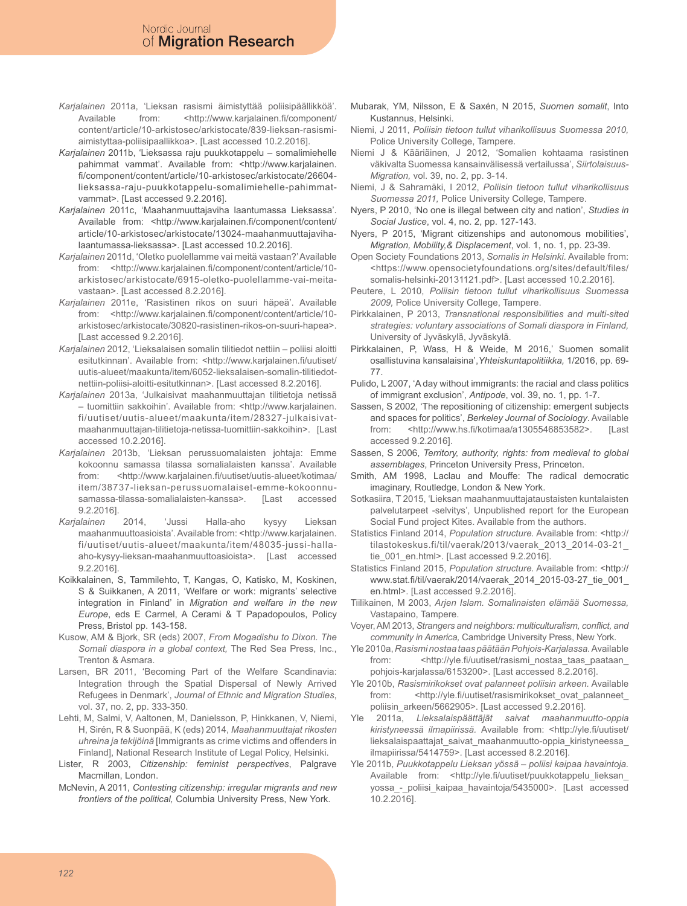- *Karjalainen* 2011a, 'Lieksan rasismi äimistyttää poliisipäällikköä'. <http://www.karjalainen.fi/component/ content/article/10-arkistosec/arkistocate/839-lieksan-rasismiaimistyttaa-poliisipaallikkoa>. [Last accessed 10.2.2016].
- *Karjalainen* 2011b, 'Lieksassa raju puukkotappelu somalimiehelle pahimmat vammat'. Available from: <http://www.karjalainen. fi/component/content/article/10-arkistosec/arkistocate/26604 lieksassa-raju-puukkotappelu-somalimiehelle-pahimmatvammat>. [Last accessed 9.2.2016].
- *Karjalainen* 2011c, 'Maahanmuuttajaviha laantumassa Lieksassa'. Available from: <http://www.karjalainen.fi/component/content/ article/10-arkistosec/arkistocate/13024-maahanmuuttajavihalaantumassa-lieksassa>. [Last accessed 10.2.2016].
- *Karjalainen* 2011d, 'Oletko puolellamme vai meitä vastaan?' Available from: <http://www.karjalainen.fi/component/content/article/10 arkistosec/arkistocate/6915-oletko-puolellamme-vai-meitavastaan>. [Last accessed 8.2.2016].
- *Karjalainen* 2011e, 'Rasistinen rikos on suuri häpeä'. Available from: <http://www.karjalainen.fi/component/content/article/10 arkistosec/arkistocate/30820-rasistinen-rikos-on-suuri-hapea>. [Last accessed 9.2.2016].
- *Karjalainen* 2012, 'Lieksalaisen somalin tilitiedot nettiin poliisi aloitti esitutkinnan'. Available from: <http://www.karjalainen.fi/uutiset/ uutis-alueet/maakunta/item/6052-lieksalaisen-somalin-tilitiedotnettiin-poliisi-aloitti-esitutkinnan>. [Last accessed 8.2.2016].
- *Karjalainen* 2013a, 'Julkaisivat maahanmuuttajan tilitietoja netissä – tuomittiin sakkoihin'. Available from: <http://www.karjalainen. fi/uutiset/uutis-alueet/maakunta/item/28327-julkaisivatmaahanmuuttajan-tilitietoja-netissa-tuomittiin-sakkoihin>. [Last accessed 10.2.2016].
- *Karjalainen* 2013b, 'Lieksan perussuomalaisten johtaja: Emme kokoonnu samassa tilassa somalialaisten kanssa'. Available from: <http://www.karjalainen.fi/uutiset/uutis-alueet/kotimaa/ item/38737-lieksan-perussuomalaiset-emme-kokoonnusamassa-tilassa-somalialaisten-kanssa>. [Last accessed 9.2.2016].
- *Karjalainen* 2014, 'Jussi Halla-aho kysyy Lieksan maahanmuuttoasioista'. Available from: <http://www.karjalainen. fi/uutiset/uutis-alueet/maakunta/item/48035-jussi-hallaaho-kysyy-lieksan-maahanmuuttoasioista>. [Last accessed 9.2.2016].
- Koikkalainen, S, Tammilehto, T, Kangas, O, Katisko, M, Koskinen, S & Suikkanen, A 2011, 'Welfare or work: migrants' selective integration in Finland' in *Migration and welfare in the new Europe*, eds E Carmel, A Cerami & T Papadopoulos, Policy Press, Bristol pp. 143-158.
- Kusow, AM & Bjork, SR (eds) 2007, *From Mogadishu to Dixon. The Somali diaspora in a global context,* The Red Sea Press, Inc., Trenton & Asmara.
- Larsen, BR 2011, 'Becoming Part of the Welfare Scandinavia: Integration through the Spatial Dispersal of Newly Arrived Refugees in Denmark', *Journal of Ethnic and Migration Studies*, vol. 37, no. 2, pp. 333-350.
- Lehti, M, Salmi, V, Aaltonen, M, Danielsson, P, Hinkkanen, V, Niemi, H, Sirén, R & Suonpää, K (eds) 2014, *Maahanmuuttajat rikosten uhreina ja tekijöinä* [Immigrants as crime victims and offenders in Finland], National Research Institute of Legal Policy, Helsinki.
- Lister, R 2003, *Citizenship: feminist perspectives*, Palgrave Macmillan, London.
- McNevin, A 2011, *Contesting citizenship: irregular migrants and new frontiers of the political,* Columbia University Press, New York.
- Mubarak, YM, Nilsson, E & Saxén, N 2015, *Suomen somalit*, Into Kustannus, Helsinki.
- Niemi, J 2011, *Poliisin tietoon tullut viharikollisuus Suomessa 2010,* Police University College, Tampere.
- Niemi J & Kääriäinen, J 2012, 'Somalien kohtaama rasistinen väkivalta Suomessa kansainvälisessä vertailussa', *Siirtolaisuus-Migration,* vol. 39, no. 2, pp. 3-14.
- Niemi, J & Sahramäki, I 2012, *Poliisin tietoon tullut viharikollisuus Suomessa 2011,* Police University College, Tampere.
- Nyers, P 2010, 'No one is illegal between city and nation', *Studies in Social Justice*, vol. 4, no. 2, pp. 127-143.
- Nyers, P 2015, 'Migrant citizenships and autonomous mobilities', *Migration, Mobility,& Displacement*, vol. 1, no. 1, pp. 23-39.
- Open Society Foundations 2013, *Somalis in Helsinki*. Available from: <https://www.opensocietyfoundations.org/sites/default/files/ somalis-helsinki-20131121.pdf>. [Last accessed 10.2.2016].
- Peutere, L 2010, *Poliisin tietoon tullut viharikollisuus Suomessa 2009,* Police University College, Tampere.
- Pirkkalainen, P 2013, *Transnational responsibilities and multi-sited strategies: voluntary associations of Somali diaspora in Finland,* University of Jyväskylä, Jyväskylä.
- Pirkkalainen, P, Wass, H & Weide, M 2016,' Suomen somalit osallistuvina kansalaisina',*Yhteiskuntapolitiikka,* 1/2016, pp. 69- 77.
- Pulido, L 2007, 'A day without immigrants: the racial and class politics of immigrant exclusion', *Antipode*, vol. 39, no. 1, pp. 1-7.
- Sassen, S 2002, 'The repositioning of citizenship: emergent subjects and spaces for politics', *Berkeley Journal of Sociology*. Available from: <http://www.hs.fi/kotimaa/a1305546853582>. [Last accessed 9.2.2016].
- Sassen, S 2006, *Territory, authority, rights: from medieval to global assemblages*, Princeton University Press, Princeton.
- Smith, AM 1998, Laclau and Mouffe: The radical democratic imaginary, Routledge, London & New York.
- Sotkasiira, T 2015, 'Lieksan maahanmuuttajataustaisten kuntalaisten palvelutarpeet -selvitys', Unpublished report for the European Social Fund project Kites. Available from the authors.
- Statistics Finland 2014, *Population structure.* Available from: <http:// tilastokeskus.fi/til/vaerak/2013/vaerak\_2013\_2014-03-21\_ tie\_001\_en.html>. [Last accessed 9.2.2016].
- Statistics Finland 2015, *Population structure.* Available from: <http:// www.stat.fi/til/vaerak/2014/vaerak\_2014\_2015-03-27\_tie\_001\_ en.html>. [Last accessed 9.2.2016].
- Tiilikainen, M 2003, *Arjen Islam. Somalinaisten elämää Suomessa,*  Vastapaino, Tampere.
- Voyer, AM 2013, *Strangers and neighbors: multiculturalism, conflict, and community in America,* Cambridge University Press, New York.
- Yle 2010a, *Rasismi nostaa taas päätään Pohjois-Karjalassa.* Available from: < http://yle.fi/uutiset/rasismi\_nostaa\_taas\_paataan pohjois-karjalassa/6153200>. [Last accessed 8.2.2016].
- Yle 2010b, *Rasismirikokset ovat palanneet poliisin arkeen.* Available from: <http://yle.fi/uutiset/rasismirikokset\_ovat\_palanneet poliisin\_arkeen/5662905>. [Last accessed 9.2.2016].
- Yle 2011a, *Lieksalaispäättäjät saivat maahanmuutto-oppia kiristyneessä ilmapiirissä.* Available from: <http://yle.fi/uutiset/ lieksalaispaattajat\_saivat\_maahanmuutto-oppia\_kiristyneessa\_ ilmapiirissa/5414759>. [Last accessed 8.2.2016].
- Yle 2011b, *Puukkotappelu Lieksan yössä poliisi kaipaa havaintoja.*  Available from: <http://yle.fi/uutiset/puukkotappelu\_lieksan\_ yossa\_-\_poliisi\_kaipaa\_havaintoja/5435000>. [Last accessed 10.2.2016].